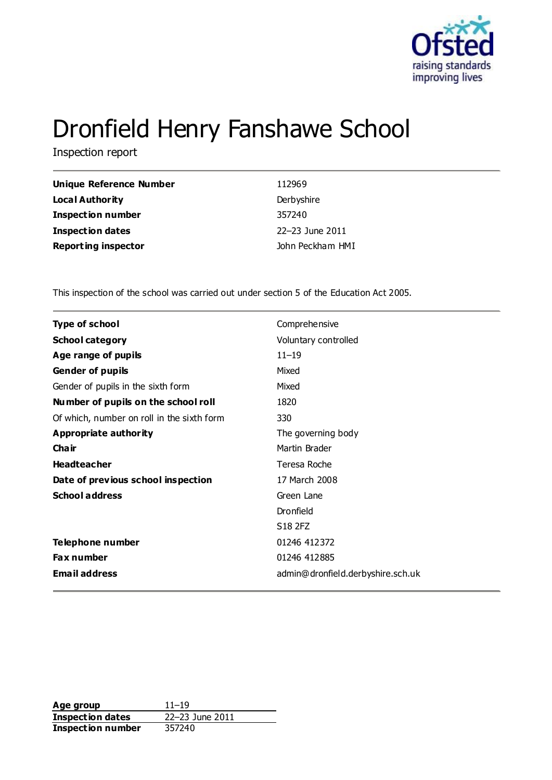

# Dronfield Henry Fanshawe School

Inspection report

| Unique Reference Number    | 112969           |
|----------------------------|------------------|
| <b>Local Authority</b>     | Derbyshire       |
| <b>Inspection number</b>   | 357240           |
| Inspection dates           | 22-23 June 2011  |
| <b>Reporting inspector</b> | John Peckham HMI |

This inspection of the school was carried out under section 5 of the Education Act 2005.

| <b>Type of school</b>                      | Comprehensive                     |
|--------------------------------------------|-----------------------------------|
| <b>School category</b>                     | Voluntary controlled              |
| Age range of pupils                        | $11 - 19$                         |
| <b>Gender of pupils</b>                    | Mixed                             |
| Gender of pupils in the sixth form         | Mixed                             |
| Number of pupils on the school roll        | 1820                              |
| Of which, number on roll in the sixth form | 330                               |
| <b>Appropriate authority</b>               | The governing body                |
| Cha ir                                     | Martin Brader                     |
| <b>Headteacher</b>                         | Teresa Roche                      |
| Date of previous school inspection         | 17 March 2008                     |
| <b>School address</b>                      | Green Lane                        |
|                                            | Dronfield                         |
|                                            | S18 2FZ                           |
| Telephone number                           | 01246 412372                      |
| Fax number                                 | 01246 412885                      |
| <b>Email address</b>                       | admin@dronfield.derbyshire.sch.uk |

**Age group** 11–19<br> **Inspection dates** 22–23 June 2011 **Inspection dates** 22–23 June 2012<br> **Inspection number** 357240 **Inspection number**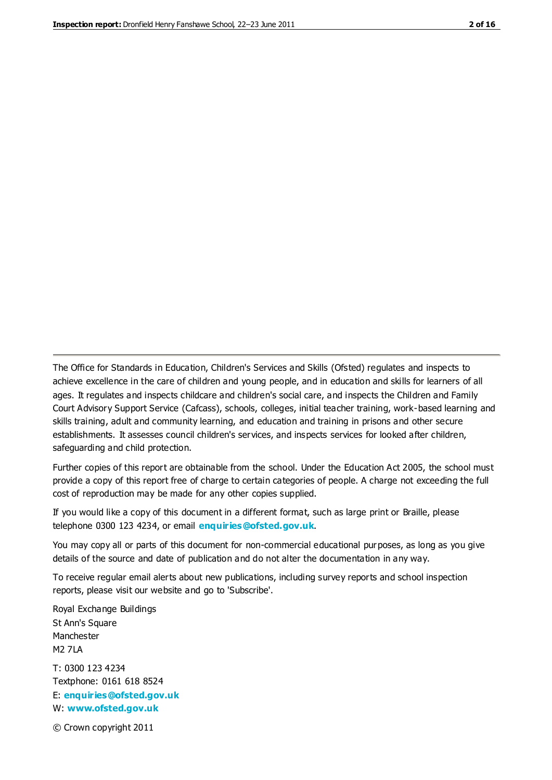The Office for Standards in Education, Children's Services and Skills (Ofsted) regulates and inspects to achieve excellence in the care of children and young people, and in education and skills for learners of all ages. It regulates and inspects childcare and children's social care, and inspects the Children and Family Court Advisory Support Service (Cafcass), schools, colleges, initial teacher training, work-based learning and skills training, adult and community learning, and education and training in prisons and other secure establishments. It assesses council children's services, and inspects services for looked after children, safeguarding and child protection.

Further copies of this report are obtainable from the school. Under the Education Act 2005, the school must provide a copy of this report free of charge to certain categories of people. A charge not exceeding the full cost of reproduction may be made for any other copies supplied.

If you would like a copy of this document in a different format, such as large print or Braille, please telephone 0300 123 4234, or email **[enquiries@ofsted.gov.uk](mailto:enquiries@ofsted.gov.uk)**.

You may copy all or parts of this document for non-commercial educational purposes, as long as you give details of the source and date of publication and do not alter the documentation in any way.

To receive regular email alerts about new publications, including survey reports and school inspection reports, please visit our website and go to 'Subscribe'.

Royal Exchange Buildings St Ann's Square Manchester M2 7LA T: 0300 123 4234 Textphone: 0161 618 8524 E: **[enquiries@ofsted.gov.uk](mailto:enquiries@ofsted.gov.uk)**

W: **[www.ofsted.gov.uk](http://www.ofsted.gov.uk/)**

© Crown copyright 2011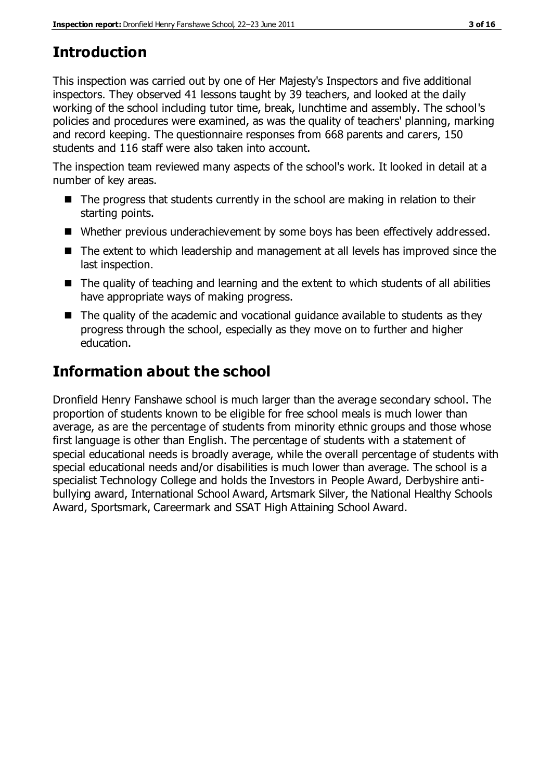# **Introduction**

This inspection was carried out by one of Her Majesty's Inspectors and five additional inspectors. They observed 41 lessons taught by 39 teachers, and looked at the daily working of the school including tutor time, break, lunchtime and assembly. The school's policies and procedures were examined, as was the quality of teachers' planning, marking and record keeping. The questionnaire responses from 668 parents and carers, 150 students and 116 staff were also taken into account.

The inspection team reviewed many aspects of the school's work. It looked in detail at a number of key areas.

- $\blacksquare$  The progress that students currently in the school are making in relation to their starting points.
- Whether previous underachievement by some boys has been effectively addressed.
- The extent to which leadership and management at all levels has improved since the last inspection.
- The quality of teaching and learning and the extent to which students of all abilities have appropriate ways of making progress.
- $\blacksquare$  The quality of the academic and vocational guidance available to students as they progress through the school, especially as they move on to further and higher education.

# **Information about the school**

Dronfield Henry Fanshawe school is much larger than the average secondary school. The proportion of students known to be eligible for free school meals is much lower than average, as are the percentage of students from minority ethnic groups and those whose first language is other than English. The percentage of students with a statement of special educational needs is broadly average, while the overall percentage of students with special educational needs and/or disabilities is much lower than average. The school is a specialist Technology College and holds the Investors in People Award, Derbyshire antibullying award, International School Award, Artsmark Silver, the National Healthy Schools Award, Sportsmark, Careermark and SSAT High Attaining School Award.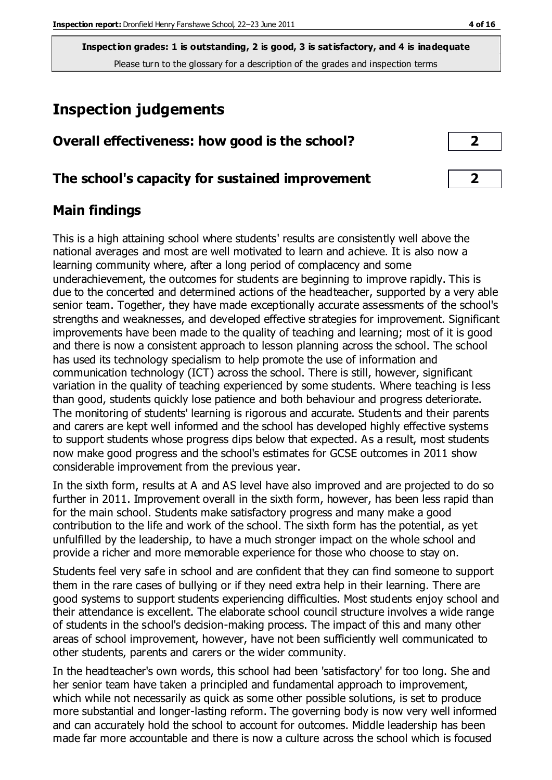# **Inspection judgements**

| Overall effectiveness: how good is the school? |  |
|------------------------------------------------|--|
|------------------------------------------------|--|

### **The school's capacity for sustained improvement 2**

## **Main findings**

This is a high attaining school where students' results are consistently well above the national averages and most are well motivated to learn and achieve. It is also now a learning community where, after a long period of complacency and some underachievement, the outcomes for students are beginning to improve rapidly. This is due to the concerted and determined actions of the headteacher, supported by a very able senior team. Together, they have made exceptionally accurate assessments of the school's strengths and weaknesses, and developed effective strategies for improvement. Significant improvements have been made to the quality of teaching and learning; most of it is good and there is now a consistent approach to lesson planning across the school. The school has used its technology specialism to help promote the use of information and communication technology (ICT) across the school. There is still, however, significant variation in the quality of teaching experienced by some students. Where teaching is less than good, students quickly lose patience and both behaviour and progress deteriorate. The monitoring of students' learning is rigorous and accurate. Students and their parents and carers are kept well informed and the school has developed highly effective systems to support students whose progress dips below that expected. As a result, most students now make good progress and the school's estimates for GCSE outcomes in 2011 show considerable improvement from the previous year.

In the sixth form, results at A and AS level have also improved and are projected to do so further in 2011. Improvement overall in the sixth form, however, has been less rapid than for the main school. Students make satisfactory progress and many make a good contribution to the life and work of the school. The sixth form has the potential, as yet unfulfilled by the leadership, to have a much stronger impact on the whole school and provide a richer and more memorable experience for those who choose to stay on.

Students feel very safe in school and are confident that they can find someone to support them in the rare cases of bullying or if they need extra help in their learning. There are good systems to support students experiencing difficulties. Most students enjoy school and their attendance is excellent. The elaborate school council structure involves a wide range of students in the school's decision-making process. The impact of this and many other areas of school improvement, however, have not been sufficiently well communicated to other students, parents and carers or the wider community.

In the headteacher's own words, this school had been 'satisfactory' for too long. She and her senior team have taken a principled and fundamental approach to improvement, which while not necessarily as quick as some other possible solutions, is set to produce more substantial and longer-lasting reform. The governing body is now very well informed and can accurately hold the school to account for outcomes. Middle leadership has been made far more accountable and there is now a culture across the school which is focused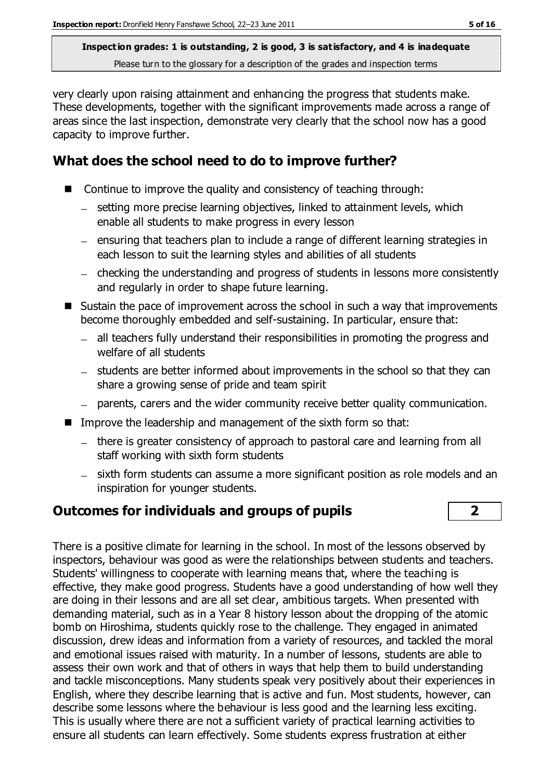very clearly upon raising attainment and enhancing the progress that students make. These developments, together with the significant improvements made across a range of areas since the last inspection, demonstrate very clearly that the school now has a good capacity to improve further.

## **What does the school need to do to improve further?**

- Continue to improve the quality and consistency of teaching through:
	- setting more precise learning objectives, linked to attainment levels, which enable all students to make progress in every lesson
	- ensuring that teachers plan to include a range of different learning strategies in each lesson to suit the learning styles and abilities of all students
	- checking the understanding and progress of students in lessons more consistently and regularly in order to shape future learning.
- $\blacksquare$  Sustain the pace of improvement across the school in such a way that improvements become thoroughly embedded and self-sustaining. In particular, ensure that:
	- all teachers fully understand their responsibilities in promoting the progress and welfare of all students
	- students are better informed about improvements in the school so that they can share a growing sense of pride and team spirit
	- parents, carers and the wider community receive better quality communication.
- Improve the leadership and management of the sixth form so that:
	- there is greater consistency of approach to pastoral care and learning from all staff working with sixth form students
	- sixth form students can assume a more significant position as role models and an inspiration for younger students.

## **Outcomes for individuals and groups of pupils 2**

There is a positive climate for learning in the school. In most of the lessons observed by inspectors, behaviour was good as were the relationships between students and teachers. Students' willingness to cooperate with learning means that, where the teaching is effective, they make good progress. Students have a good understanding of how well they are doing in their lessons and are all set clear, ambitious targets. When presented with demanding material, such as in a Year 8 history lesson about the dropping of the atomic bomb on Hiroshima, students quickly rose to the challenge. They engaged in animated discussion, drew ideas and information from a variety of resources, and tackled the moral and emotional issues raised with maturity. In a number of lessons, students are able to assess their own work and that of others in ways that help them to build understanding and tackle misconceptions. Many students speak very positively about their experiences in English, where they describe learning that is active and fun. Most students, however, can describe some lessons where the behaviour is less good and the learning less exciting. This is usually where there are not a sufficient variety of practical learning activities to ensure all students can learn effectively. Some students express frustration at either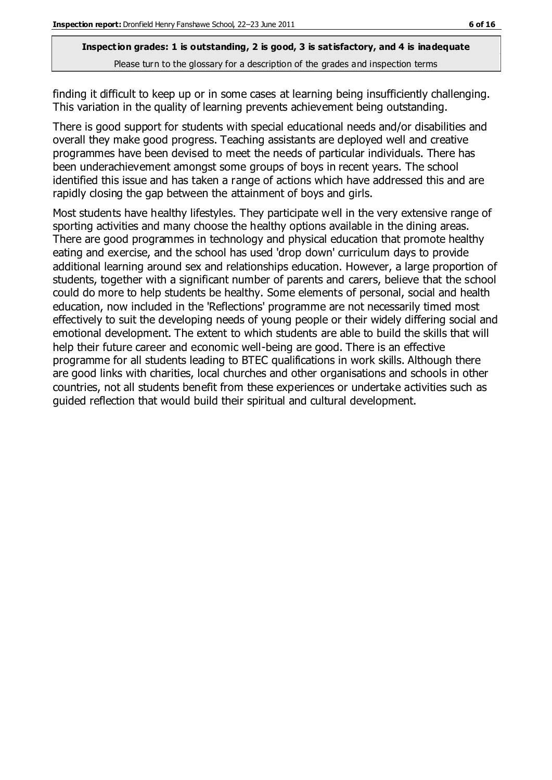finding it difficult to keep up or in some cases at learning being insufficiently challenging. This variation in the quality of learning prevents achievement being outstanding.

There is good support for students with special educational needs and/or disabilities and overall they make good progress. Teaching assistants are deployed well and creative programmes have been devised to meet the needs of particular individuals. There has been underachievement amongst some groups of boys in recent years. The school identified this issue and has taken a range of actions which have addressed this and are rapidly closing the gap between the attainment of boys and girls.

Most students have healthy lifestyles. They participate well in the very extensive range of sporting activities and many choose the healthy options available in the dining areas. There are good programmes in technology and physical education that promote healthy eating and exercise, and the school has used 'drop down' curriculum days to provide additional learning around sex and relationships education. However, a large proportion of students, together with a significant number of parents and carers, believe that the school could do more to help students be healthy. Some elements of personal, social and health education, now included in the 'Reflections' programme are not necessarily timed most effectively to suit the developing needs of young people or their widely differing social and emotional development. The extent to which students are able to build the skills that will help their future career and economic well-being are good. There is an effective programme for all students leading to BTEC qualifications in work skills. Although there are good links with charities, local churches and other organisations and schools in other countries, not all students benefit from these experiences or undertake activities such as guided reflection that would build their spiritual and cultural development.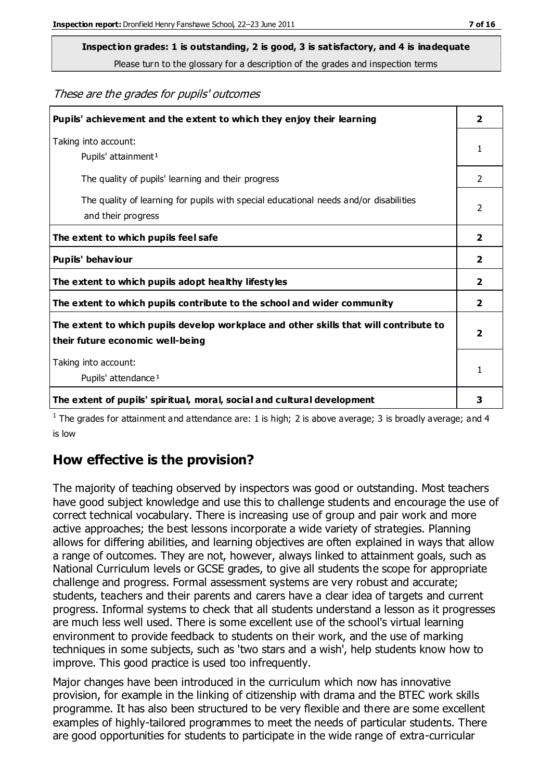# **Inspection grades: 1 is outstanding, 2 is good, 3 is satisfactory, and 4 is inadequate**

Please turn to the glossary for a description of the grades and inspection terms

These are the grades for pupils' outcomes

| Pupils' achievement and the extent to which they enjoy their learning                                                     | $\overline{\mathbf{2}}$ |
|---------------------------------------------------------------------------------------------------------------------------|-------------------------|
| Taking into account:<br>Pupils' attainment <sup>1</sup>                                                                   | 1                       |
| The quality of pupils' learning and their progress                                                                        | $\mathcal{P}$           |
| The quality of learning for pupils with special educational needs and/or disabilities<br>and their progress               | $\overline{2}$          |
| The extent to which pupils feel safe                                                                                      | 2                       |
| Pupils' behaviour                                                                                                         | 2                       |
| The extent to which pupils adopt healthy lifestyles                                                                       | 2                       |
| The extent to which pupils contribute to the school and wider community                                                   | 2                       |
| The extent to which pupils develop workplace and other skills that will contribute to<br>their future economic well-being | $\overline{\mathbf{2}}$ |
| Taking into account:<br>Pupils' attendance <sup>1</sup>                                                                   | 1                       |
| The extent of pupils' spiritual, moral, social and cultural development                                                   | 3                       |

<sup>1</sup> The grades for attainment and attendance are: 1 is high; 2 is above average; 3 is broadly average; and 4 is low

#### **How effective is the provision?**

The majority of teaching observed by inspectors was good or outstanding. Most teachers have good subject knowledge and use this to challenge students and encourage the use of correct technical vocabulary. There is increasing use of group and pair work and more active approaches; the best lessons incorporate a wide variety of strategies. Planning allows for differing abilities, and learning objectives are often explained in ways that allow a range of outcomes. They are not, however, always linked to attainment goals, such as National Curriculum levels or GCSE grades, to give all students the scope for appropriate challenge and progress. Formal assessment systems are very robust and accurate; students, teachers and their parents and carers have a clear idea of targets and current progress. Informal systems to check that all students understand a lesson as it progresses are much less well used. There is some excellent use of the school's virtual learning environment to provide feedback to students on their work, and the use of marking techniques in some subjects, such as 'two stars and a wish', help students know how to improve. This good practice is used too infrequently.

Major changes have been introduced in the curriculum which now has innovative provision, for example in the linking of citizenship with drama and the BTEC work skills programme. It has also been structured to be very flexible and there are some excellent examples of highly-tailored programmes to meet the needs of particular students. There are good opportunities for students to participate in the wide range of extra-curricular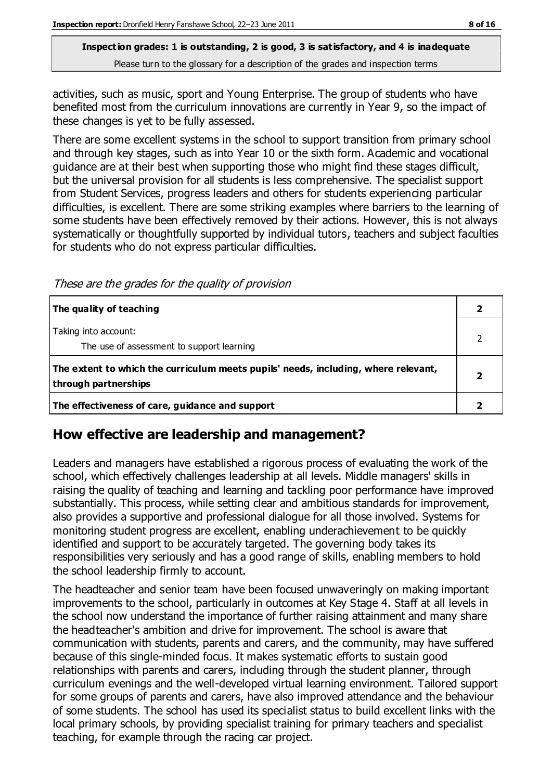activities, such as music, sport and Young Enterprise. The group of students who have benefited most from the curriculum innovations are currently in Year 9, so the impact of these changes is yet to be fully assessed.

There are some excellent systems in the school to support transition from primary school and through key stages, such as into Year 10 or the sixth form. Academic and vocational guidance are at their best when supporting those who might find these stages difficult, but the universal provision for all students is less comprehensive. The specialist support from Student Services, progress leaders and others for students experiencing particular difficulties, is excellent. There are some striking examples where barriers to the learning of some students have been effectively removed by their actions. However, this is not always systematically or thoughtfully supported by individual tutors, teachers and subject faculties for students who do not express particular difficulties.

These are the grades for the quality of provision

| The quality of teaching                                                                                    |  |
|------------------------------------------------------------------------------------------------------------|--|
| Taking into account:<br>The use of assessment to support learning                                          |  |
| The extent to which the curriculum meets pupils' needs, including, where relevant,<br>through partnerships |  |
| The effectiveness of care, guidance and support                                                            |  |

## **How effective are leadership and management?**

Leaders and managers have established a rigorous process of evaluating the work of the school, which effectively challenges leadership at all levels. Middle managers' skills in raising the quality of teaching and learning and tackling poor performance have improved substantially. This process, while setting clear and ambitious standards for improvement, also provides a supportive and professional dialogue for all those involved. Systems for monitoring student progress are excellent, enabling underachievement to be quickly identified and support to be accurately targeted. The governing body takes its responsibilities very seriously and has a good range of skills, enabling members to hold the school leadership firmly to account.

The headteacher and senior team have been focused unwaveringly on making important improvements to the school, particularly in outcomes at Key Stage 4. Staff at all levels in the school now understand the importance of further raising attainment and many share the headteacher's ambition and drive for improvement. The school is aware that communication with students, parents and carers, and the community, may have suffered because of this single-minded focus. It makes systematic efforts to sustain good relationships with parents and carers, including through the student planner, through curriculum evenings and the well-developed virtual learning environment. Tailored support for some groups of parents and carers, have also improved attendance and the behaviour of some students. The school has used its specialist status to build excellent links with the local primary schools, by providing specialist training for primary teachers and specialist teaching, for example through the racing car project.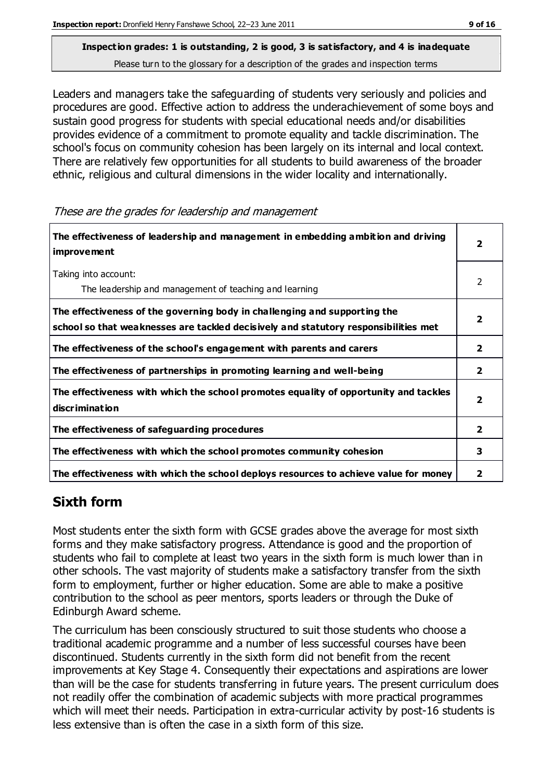Leaders and managers take the safeguarding of students very seriously and policies and procedures are good. Effective action to address the underachievement of some boys and sustain good progress for students with special educational needs and/or disabilities provides evidence of a commitment to promote equality and tackle discrimination. The school's focus on community cohesion has been largely on its internal and local context. There are relatively few opportunities for all students to build awareness of the broader ethnic, religious and cultural dimensions in the wider locality and internationally.

These are the grades for leadership and management

| The effectiveness of leadership and management in embedding ambition and driving<br><i>improvement</i>                                                           |              |
|------------------------------------------------------------------------------------------------------------------------------------------------------------------|--------------|
| Taking into account:<br>The leadership and management of teaching and learning                                                                                   | 2            |
| The effectiveness of the governing body in challenging and supporting the<br>school so that weaknesses are tackled decisively and statutory responsibilities met | 2            |
| The effectiveness of the school's engagement with parents and carers                                                                                             | 2            |
| The effectiveness of partnerships in promoting learning and well-being                                                                                           | $\mathbf{2}$ |
| The effectiveness with which the school promotes equality of opportunity and tackles<br>discrimination                                                           | 2            |
| The effectiveness of safeguarding procedures                                                                                                                     | 2            |
| The effectiveness with which the school promotes community cohesion                                                                                              | 3            |
| The effectiveness with which the school deploys resources to achieve value for money                                                                             | 2            |

## **Sixth form**

Most students enter the sixth form with GCSE grades above the average for most sixth forms and they make satisfactory progress. Attendance is good and the proportion of students who fail to complete at least two years in the sixth form is much lower than in other schools. The vast majority of students make a satisfactory transfer from the sixth form to employment, further or higher education. Some are able to make a positive contribution to the school as peer mentors, sports leaders or through the Duke of Edinburgh Award scheme.

The curriculum has been consciously structured to suit those students who choose a traditional academic programme and a number of less successful courses have been discontinued. Students currently in the sixth form did not benefit from the recent improvements at Key Stage 4. Consequently their expectations and aspirations are lower than will be the case for students transferring in future years. The present curriculum does not readily offer the combination of academic subjects with more practical programmes which will meet their needs. Participation in extra-curricular activity by post-16 students is less extensive than is often the case in a sixth form of this size.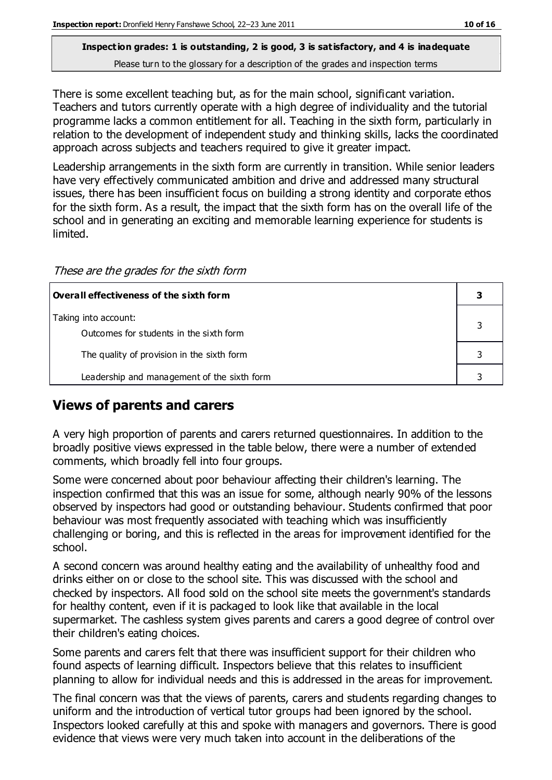There is some excellent teaching but, as for the main school, significant variation. Teachers and tutors currently operate with a high degree of individuality and the tutorial programme lacks a common entitlement for all. Teaching in the sixth form, particularly in relation to the development of independent study and thinking skills, lacks the coordinated approach across subjects and teachers required to give it greater impact.

Leadership arrangements in the sixth form are currently in transition. While senior leaders have very effectively communicated ambition and drive and addressed many structural issues, there has been insufficient focus on building a strong identity and corporate ethos for the sixth form. As a result, the impact that the sixth form has on the overall life of the school and in generating an exciting and memorable learning experience for students is limited.

These are the grades for the sixth form

| $\mid$ Overall effectiveness of the sixth form                  |  |
|-----------------------------------------------------------------|--|
| Taking into account:<br>Outcomes for students in the sixth form |  |
| The quality of provision in the sixth form                      |  |
| Leadership and management of the sixth form                     |  |

## **Views of parents and carers**

A very high proportion of parents and carers returned questionnaires. In addition to the broadly positive views expressed in the table below, there were a number of extended comments, which broadly fell into four groups.

Some were concerned about poor behaviour affecting their children's learning. The inspection confirmed that this was an issue for some, although nearly 90% of the lessons observed by inspectors had good or outstanding behaviour. Students confirmed that poor behaviour was most frequently associated with teaching which was insufficiently challenging or boring, and this is reflected in the areas for improvement identified for the school.

A second concern was around healthy eating and the availability of unhealthy food and drinks either on or close to the school site. This was discussed with the school and checked by inspectors. All food sold on the school site meets the government's standards for healthy content, even if it is packaged to look like that available in the local supermarket. The cashless system gives parents and carers a good degree of control over their children's eating choices.

Some parents and carers felt that there was insufficient support for their children who found aspects of learning difficult. Inspectors believe that this relates to insufficient planning to allow for individual needs and this is addressed in the areas for improvement.

The final concern was that the views of parents, carers and students regarding changes to uniform and the introduction of vertical tutor groups had been ignored by the school. Inspectors looked carefully at this and spoke with managers and governors. There is good evidence that views were very much taken into account in the deliberations of the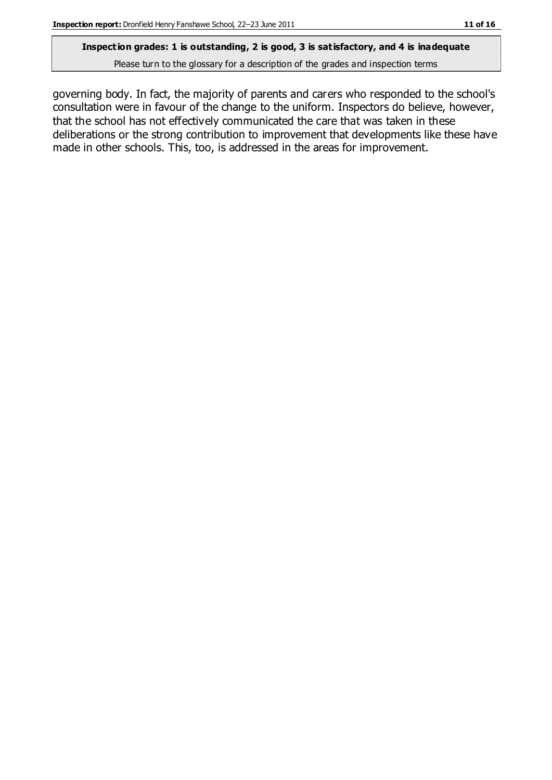#### **Inspection grades: 1 is outstanding, 2 is good, 3 is satisfactory, and 4 is inadequate**

Please turn to the glossary for a description of the grades and inspection terms

governing body. In fact, the majority of parents and carers who responded to the school's consultation were in favour of the change to the uniform. Inspectors do believe, however, that the school has not effectively communicated the care that was taken in these deliberations or the strong contribution to improvement that developments like these have made in other schools. This, too, is addressed in the areas for improvement.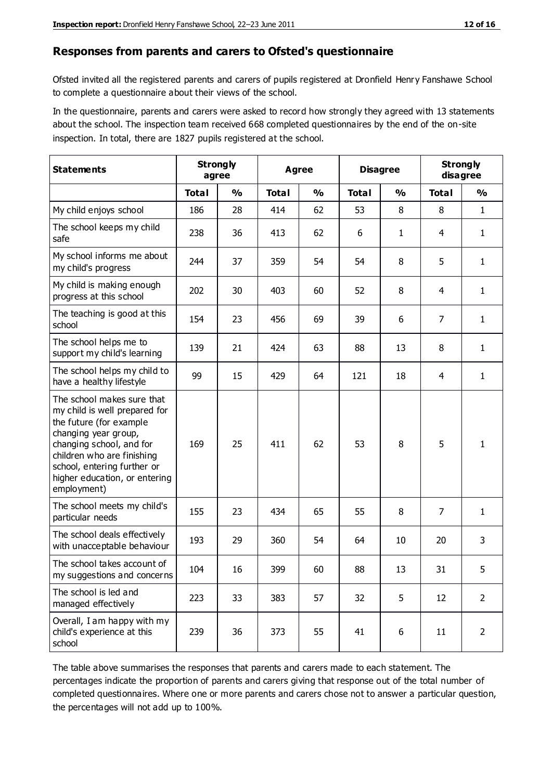#### **Responses from parents and carers to Ofsted's questionnaire**

Ofsted invited all the registered parents and carers of pupils registered at Dronfield Henry Fanshawe School to complete a questionnaire about their views of the school.

In the questionnaire, parents and carers were asked to record how strongly they agreed with 13 statements about the school. The inspection team received 668 completed questionnaires by the end of the on-site inspection. In total, there are 1827 pupils registered at the school.

| <b>Statements</b>                                                                                                                                                                                                                                       | <b>Strongly</b><br>agree |               | Agree        |               | <b>Disagree</b> |               | <b>Strongly</b><br>disagree |                |
|---------------------------------------------------------------------------------------------------------------------------------------------------------------------------------------------------------------------------------------------------------|--------------------------|---------------|--------------|---------------|-----------------|---------------|-----------------------------|----------------|
|                                                                                                                                                                                                                                                         | <b>Total</b>             | $\frac{1}{2}$ | <b>Total</b> | $\frac{1}{2}$ | <b>Total</b>    | $\frac{0}{0}$ | <b>Total</b>                | $\frac{1}{2}$  |
| My child enjoys school                                                                                                                                                                                                                                  | 186                      | 28            | 414          | 62            | 53              | 8             | 8                           | $\mathbf{1}$   |
| The school keeps my child<br>safe                                                                                                                                                                                                                       | 238                      | 36            | 413          | 62            | 6               | $\mathbf{1}$  | 4                           | $\mathbf{1}$   |
| My school informs me about<br>my child's progress                                                                                                                                                                                                       | 244                      | 37            | 359          | 54            | 54              | 8             | 5                           | $\mathbf{1}$   |
| My child is making enough<br>progress at this school                                                                                                                                                                                                    | 202                      | 30            | 403          | 60            | 52              | 8             | 4                           | 1              |
| The teaching is good at this<br>school                                                                                                                                                                                                                  | 154                      | 23            | 456          | 69            | 39              | 6             | 7                           | 1              |
| The school helps me to<br>support my child's learning                                                                                                                                                                                                   | 139                      | 21            | 424          | 63            | 88              | 13            | 8                           | 1              |
| The school helps my child to<br>have a healthy lifestyle                                                                                                                                                                                                | 99                       | 15            | 429          | 64            | 121             | 18            | 4                           | $\mathbf{1}$   |
| The school makes sure that<br>my child is well prepared for<br>the future (for example<br>changing year group,<br>changing school, and for<br>children who are finishing<br>school, entering further or<br>higher education, or entering<br>employment) | 169                      | 25            | 411          | 62            | 53              | 8             | 5                           | 1              |
| The school meets my child's<br>particular needs                                                                                                                                                                                                         | 155                      | 23            | 434          | 65            | 55              | 8             | 7                           | 1              |
| The school deals effectively<br>with unacceptable behaviour                                                                                                                                                                                             | 193                      | 29            | 360          | 54            | 64              | 10            | 20                          | 3              |
| The school takes account of<br>my suggestions and concerns                                                                                                                                                                                              | 104                      | 16            | 399          | 60            | 88              | 13            | 31                          | 5              |
| The school is led and<br>managed effectively                                                                                                                                                                                                            | 223                      | 33            | 383          | 57            | 32              | 5             | 12                          | $\overline{2}$ |
| Overall, I am happy with my<br>child's experience at this<br>school                                                                                                                                                                                     | 239                      | 36            | 373          | 55            | 41              | 6             | 11                          | $\overline{2}$ |

The table above summarises the responses that parents and carers made to each statement. The percentages indicate the proportion of parents and carers giving that response out of the total number of completed questionnaires. Where one or more parents and carers chose not to answer a particular question, the percentages will not add up to 100%.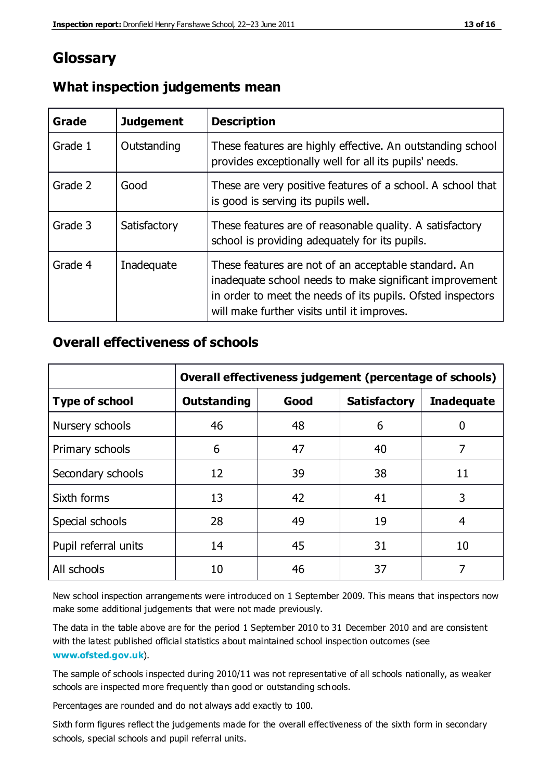# **Glossary**

| Grade   | <b>Judgement</b> | <b>Description</b>                                                                                                                                                                                                            |
|---------|------------------|-------------------------------------------------------------------------------------------------------------------------------------------------------------------------------------------------------------------------------|
| Grade 1 | Outstanding      | These features are highly effective. An outstanding school<br>provides exceptionally well for all its pupils' needs.                                                                                                          |
| Grade 2 | Good             | These are very positive features of a school. A school that<br>is good is serving its pupils well.                                                                                                                            |
| Grade 3 | Satisfactory     | These features are of reasonable quality. A satisfactory<br>school is providing adequately for its pupils.                                                                                                                    |
| Grade 4 | Inadequate       | These features are not of an acceptable standard. An<br>inadequate school needs to make significant improvement<br>in order to meet the needs of its pupils. Ofsted inspectors<br>will make further visits until it improves. |

#### **What inspection judgements mean**

#### **Overall effectiveness of schools**

|                       | Overall effectiveness judgement (percentage of schools) |      |                     |                   |
|-----------------------|---------------------------------------------------------|------|---------------------|-------------------|
| <b>Type of school</b> | <b>Outstanding</b>                                      | Good | <b>Satisfactory</b> | <b>Inadequate</b> |
| Nursery schools       | 46                                                      | 48   | 6                   |                   |
| Primary schools       | 6                                                       | 47   | 40                  | 7                 |
| Secondary schools     | 12                                                      | 39   | 38                  | 11                |
| Sixth forms           | 13                                                      | 42   | 41                  | 3                 |
| Special schools       | 28                                                      | 49   | 19                  | 4                 |
| Pupil referral units  | 14                                                      | 45   | 31                  | 10                |
| All schools           | 10                                                      | 46   | 37                  |                   |

New school inspection arrangements were introduced on 1 September 2009. This means that inspectors now make some additional judgements that were not made previously.

The data in the table above are for the period 1 September 2010 to 31 December 2010 and are consistent with the latest published official statistics about maintained school inspection outcomes (see **[www.ofsted.gov.uk](http://www.ofsted.gov.uk/)**).

The sample of schools inspected during 2010/11 was not representative of all schools nationally, as weaker schools are inspected more frequently than good or outstanding schools.

Percentages are rounded and do not always add exactly to 100.

Sixth form figures reflect the judgements made for the overall effectiveness of the sixth form in secondary schools, special schools and pupil referral units.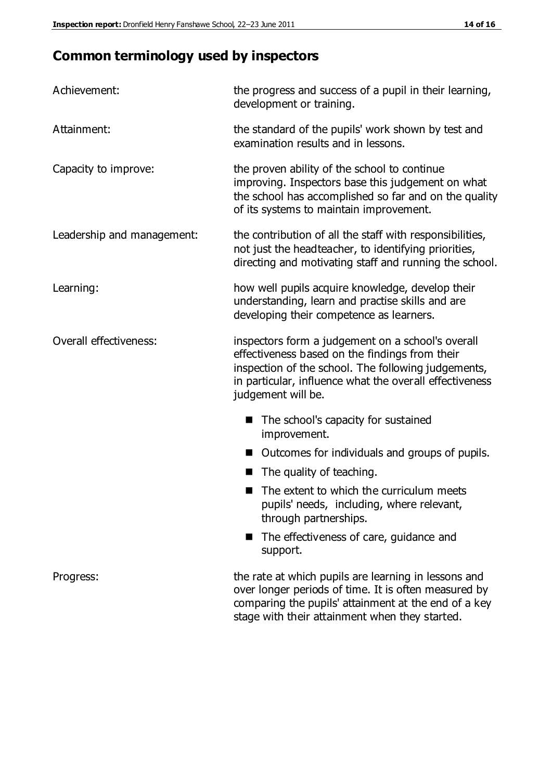# **Common terminology used by inspectors**

| Achievement:               | the progress and success of a pupil in their learning,<br>development or training.                                                                                                                                                          |  |  |
|----------------------------|---------------------------------------------------------------------------------------------------------------------------------------------------------------------------------------------------------------------------------------------|--|--|
| Attainment:                | the standard of the pupils' work shown by test and<br>examination results and in lessons.                                                                                                                                                   |  |  |
| Capacity to improve:       | the proven ability of the school to continue<br>improving. Inspectors base this judgement on what<br>the school has accomplished so far and on the quality<br>of its systems to maintain improvement.                                       |  |  |
| Leadership and management: | the contribution of all the staff with responsibilities,<br>not just the headteacher, to identifying priorities,<br>directing and motivating staff and running the school.                                                                  |  |  |
| Learning:                  | how well pupils acquire knowledge, develop their<br>understanding, learn and practise skills and are<br>developing their competence as learners.                                                                                            |  |  |
| Overall effectiveness:     | inspectors form a judgement on a school's overall<br>effectiveness based on the findings from their<br>inspection of the school. The following judgements,<br>in particular, influence what the overall effectiveness<br>judgement will be. |  |  |
|                            | The school's capacity for sustained<br>improvement.                                                                                                                                                                                         |  |  |
|                            | Outcomes for individuals and groups of pupils.                                                                                                                                                                                              |  |  |
|                            | The quality of teaching.                                                                                                                                                                                                                    |  |  |
|                            | The extent to which the curriculum meets<br>pupils' needs, including, where relevant,<br>through partnerships.                                                                                                                              |  |  |
|                            | The effectiveness of care, guidance and<br>support.                                                                                                                                                                                         |  |  |
| Progress:                  | the rate at which pupils are learning in lessons and<br>over longer periods of time. It is often measured by<br>comparing the pupils' attainment at the end of a key                                                                        |  |  |

stage with their attainment when they started.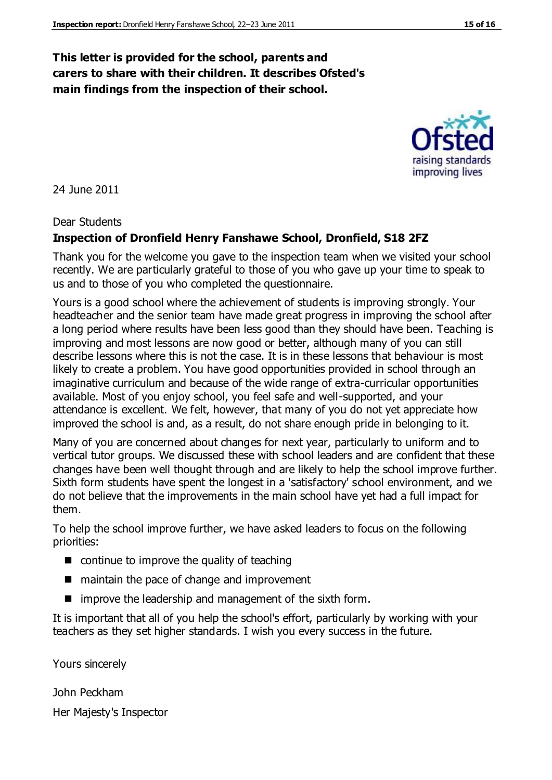#### **This letter is provided for the school, parents and carers to share with their children. It describes Ofsted's main findings from the inspection of their school.**

24 June 2011

#### Dear Students

#### **Inspection of Dronfield Henry Fanshawe School, Dronfield, S18 2FZ**

Thank you for the welcome you gave to the inspection team when we visited your school recently. We are particularly grateful to those of you who gave up your time to speak to us and to those of you who completed the questionnaire.

Yours is a good school where the achievement of students is improving strongly. Your headteacher and the senior team have made great progress in improving the school after a long period where results have been less good than they should have been. Teaching is improving and most lessons are now good or better, although many of you can still describe lessons where this is not the case. It is in these lessons that behaviour is most likely to create a problem. You have good opportunities provided in school through an imaginative curriculum and because of the wide range of extra-curricular opportunities available. Most of you enjoy school, you feel safe and well-supported, and your attendance is excellent. We felt, however, that many of you do not yet appreciate how improved the school is and, as a result, do not share enough pride in belonging to it.

Many of you are concerned about changes for next year, particularly to uniform and to vertical tutor groups. We discussed these with school leaders and are confident that these changes have been well thought through and are likely to help the school improve further. Sixth form students have spent the longest in a 'satisfactory' school environment, and we do not believe that the improvements in the main school have yet had a full impact for them.

To help the school improve further, we have asked leaders to focus on the following priorities:

- $\blacksquare$  continue to improve the quality of teaching
- maintain the pace of change and improvement
- $\blacksquare$  improve the leadership and management of the sixth form.

It is important that all of you help the school's effort, particularly by working with your teachers as they set higher standards. I wish you every success in the future.

Yours sincerely

John Peckham

Her Majesty's Inspector